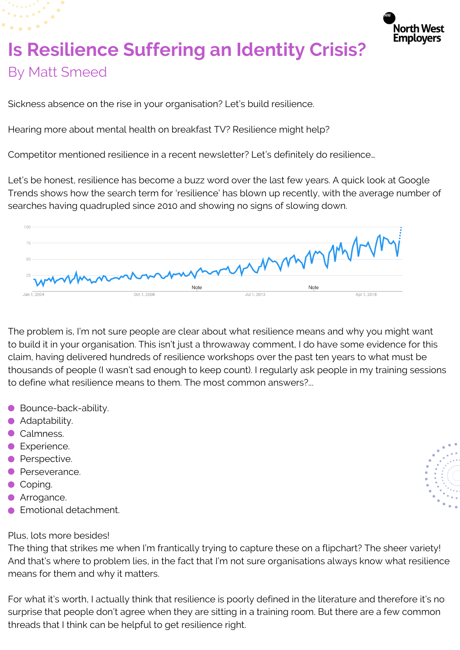

## **Is Resilience Suffering an Identity Crisis?** By Matt Smeed

Sickness absence on the rise in your organisation? Let's build resilience.

Hearing more about mental health on breakfast TV? Resilience might help?

Competitor mentioned resilience in a recent newsletter? Let's definitely do resilience…

Let's be honest, resilience has become a buzz word over the last few years. A quick look at Google Trends shows how the search term for 'resilience' has blown up recently, with the average number of searches having quadrupled since 2010 and showing no signs of slowing down.



The problem is, I'm not sure people are clear about what resilience means and why you might want to build it in your organisation. This isn't just a throwaway comment, I do have some evidence for this claim, having delivered hundreds of resilience workshops over the past ten years to what must be thousands of people (I wasn't sad enough to keep count). I regularly ask people in my training sessions to define what resilience means to them. The most common answers?...

- Bounce-back-ability.
- **•** Adaptability.
- Calmness.
- **C** Experience.
- **•** Perspective.
- **•** Perseverance.
- Coping.
- **Arrogance.**
- **Emotional detachment.**

## Plus, lots more besides!

The thing that strikes me when I'm frantically trying to capture these on a flipchart? The sheer variety! And that's where to problem lies, in the fact that I'm not sure organisations always know what resilience means for them and why it matters.

For what it's worth, I actually think that resilience is poorly defined in the literature and therefore it's no surprise that people don't agree when they are sitting in a training room. But there are a few common threads that I think can be helpful to get resilience right.